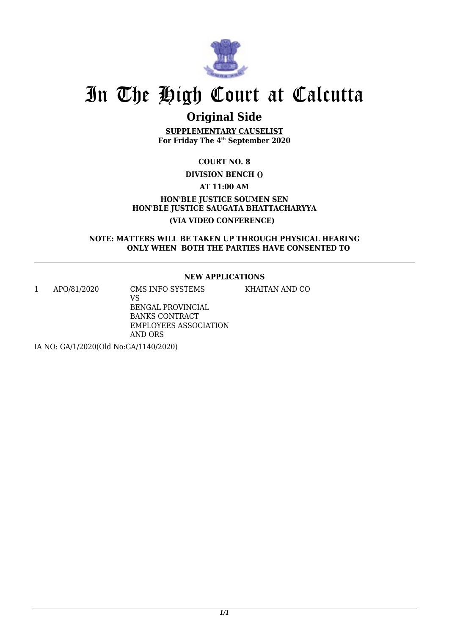

## **Original Side**

**SUPPLEMENTARY CAUSELIST For Friday The 4th September 2020**

**COURT NO. 8**

### **DIVISION BENCH ()**

**AT 11:00 AM**

**HON'BLE JUSTICE SOUMEN SEN HON'BLE JUSTICE SAUGATA BHATTACHARYYA (VIA VIDEO CONFERENCE)** 

**NOTE: MATTERS WILL BE TAKEN UP THROUGH PHYSICAL HEARING ONLY WHEN BOTH THE PARTIES HAVE CONSENTED TO**

### **NEW APPLICATIONS**

1 APO/81/2020 CMS INFO SYSTEMS

VS BENGAL PROVINCIAL BANKS CONTRACT EMPLOYEES ASSOCIATION AND ORS KHAITAN AND CO

IA NO: GA/1/2020(Old No:GA/1140/2020)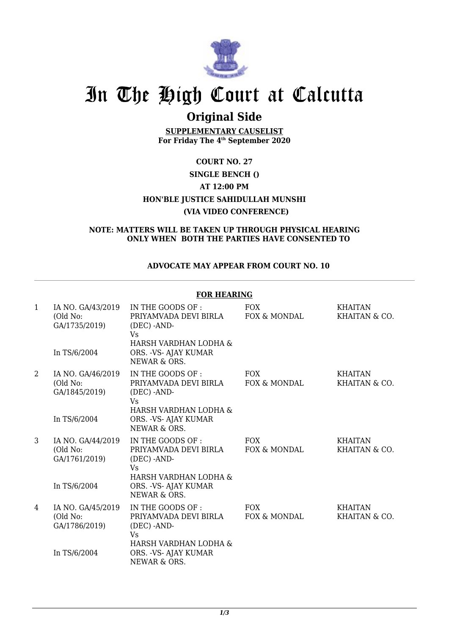

## **Original Side**

**SUPPLEMENTARY CAUSELIST For Friday The 4th September 2020**

## **COURT NO. 27 SINGLE BENCH () AT 12:00 PM HON'BLE JUSTICE SAHIDULLAH MUNSHI (VIA VIDEO CONFERENCE)**

#### **NOTE: MATTERS WILL BE TAKEN UP THROUGH PHYSICAL HEARING ONLY WHEN BOTH THE PARTIES HAVE CONSENTED TO**

### **ADVOCATE MAY APPEAR FROM COURT NO. 10**

|              | <b>FOR HEARING</b>                                             |                                                                                                                                            |                            |                                 |  |
|--------------|----------------------------------------------------------------|--------------------------------------------------------------------------------------------------------------------------------------------|----------------------------|---------------------------------|--|
| $\mathbf{1}$ | IA NO. GA/43/2019<br>(Old No:<br>GA/1735/2019)<br>In TS/6/2004 | IN THE GOODS OF :<br>PRIYAMVADA DEVI BIRLA<br>$(DEC)$ -AND-<br>Vs<br>HARSH VARDHAN LODHA &<br>ORS. - VS- AJAY KUMAR<br>NEWAR & ORS.        | <b>FOX</b><br>FOX & MONDAL | <b>KHAITAN</b><br>KHAITAN & CO. |  |
| 2            | IA NO. GA/46/2019<br>(Old No:<br>GA/1845/2019)<br>In TS/6/2004 | IN THE GOODS OF :<br>PRIYAMVADA DEVI BIRLA<br>$(DEC)$ -AND-<br>Vs<br>HARSH VARDHAN LODHA &<br>ORS. - VS- AJAY KUMAR<br>NEWAR & ORS.        | <b>FOX</b><br>FOX & MONDAL | <b>KHAITAN</b><br>KHAITAN & CO. |  |
| 3            | IA NO. GA/44/2019<br>(Old No:<br>GA/1761/2019)<br>In TS/6/2004 | IN THE GOODS OF :<br>PRIYAMVADA DEVI BIRLA<br>$(DEC)$ -AND-<br><b>Vs</b><br>HARSH VARDHAN LODHA &<br>ORS. - VS- AJAY KUMAR<br>NEWAR & ORS. | <b>FOX</b><br>FOX & MONDAL | <b>KHAITAN</b><br>KHAITAN & CO. |  |
| 4            | IA NO. GA/45/2019<br>(Old No:<br>GA/1786/2019)<br>In TS/6/2004 | IN THE GOODS OF :<br>PRIYAMVADA DEVI BIRLA<br>$(DEC)$ -AND-<br>Vs<br>HARSH VARDHAN LODHA &<br>ORS. - VS- AJAY KUMAR<br>NEWAR & ORS.        | <b>FOX</b><br>FOX & MONDAL | <b>KHAITAN</b><br>KHAITAN & CO. |  |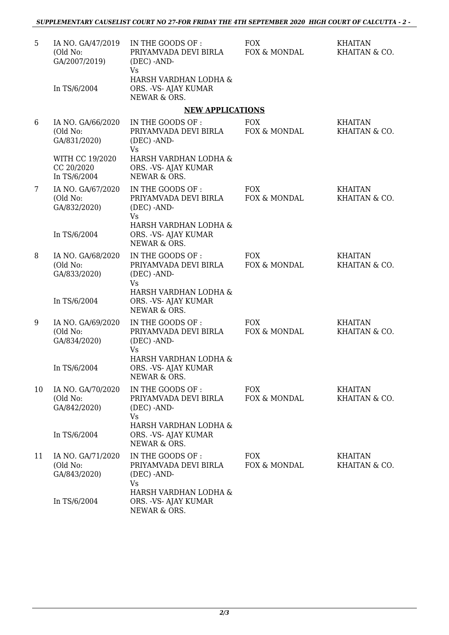| 5  | IA NO. GA/47/2019<br>(Old No:<br>GA/2007/2019)<br>In TS/6/2004 | IN THE GOODS OF :<br>PRIYAMVADA DEVI BIRLA<br>$(DEC)$ -AND-<br><b>Vs</b><br>HARSH VARDHAN LODHA &<br>ORS. - VS- AJAY KUMAR | <b>FOX</b><br>FOX & MONDAL | <b>KHAITAN</b><br>KHAITAN & CO. |
|----|----------------------------------------------------------------|----------------------------------------------------------------------------------------------------------------------------|----------------------------|---------------------------------|
|    |                                                                | NEWAR & ORS.                                                                                                               |                            |                                 |
|    |                                                                | <b>NEW APPLICATIONS</b>                                                                                                    |                            |                                 |
| 6  | IA NO. GA/66/2020<br>(Old No:<br>GA/831/2020)                  | IN THE GOODS OF :<br>PRIYAMVADA DEVI BIRLA<br>(DEC) -AND-<br><b>Vs</b>                                                     | <b>FOX</b><br>FOX & MONDAL | <b>KHAITAN</b><br>KHAITAN & CO. |
|    | WITH CC 19/2020<br>CC 20/2020<br>In TS/6/2004                  | HARSH VARDHAN LODHA &<br>ORS. - VS- AJAY KUMAR<br>NEWAR & ORS.                                                             |                            |                                 |
| 7  | IA NO. GA/67/2020<br>(Old No:<br>GA/832/2020)                  | IN THE GOODS OF :<br>PRIYAMVADA DEVI BIRLA<br>$(DEC)$ -AND-<br><b>Vs</b>                                                   | <b>FOX</b><br>FOX & MONDAL | <b>KHAITAN</b><br>KHAITAN & CO. |
|    | In TS/6/2004                                                   | HARSH VARDHAN LODHA &<br>ORS. - VS- AJAY KUMAR<br>NEWAR & ORS.                                                             |                            |                                 |
| 8  | IA NO. GA/68/2020<br>(Old No:<br>GA/833/2020)                  | IN THE GOODS OF :<br>PRIYAMVADA DEVI BIRLA<br>(DEC) -AND-<br>Vs<br>HARSH VARDHAN LODHA &                                   | <b>FOX</b><br>FOX & MONDAL | <b>KHAITAN</b><br>KHAITAN & CO. |
|    | In TS/6/2004                                                   | ORS. - VS- AJAY KUMAR<br>NEWAR & ORS.                                                                                      |                            |                                 |
| 9  | IA NO. GA/69/2020<br>(Old No:<br>GA/834/2020)                  | IN THE GOODS OF :<br>PRIYAMVADA DEVI BIRLA<br>(DEC) -AND-<br>Vs<br>HARSH VARDHAN LODHA &                                   | <b>FOX</b><br>FOX & MONDAL | <b>KHAITAN</b><br>KHAITAN & CO. |
|    | In TS/6/2004                                                   | ORS. - VS- AJAY KUMAR<br>NEWAR & ORS.                                                                                      |                            |                                 |
| 10 | IA NO. GA/70/2020<br>(Old No:<br>GA/842/2020)                  | IN THE GOODS OF :<br>PRIYAMVADA DEVI BIRLA<br>(DEC) -AND-<br>Vs                                                            | <b>FOX</b><br>FOX & MONDAL | <b>KHAITAN</b><br>KHAITAN & CO. |
|    | In TS/6/2004                                                   | HARSH VARDHAN LODHA &<br>ORS. - VS- AJAY KUMAR<br>NEWAR & ORS.                                                             |                            |                                 |
| 11 | IA NO. GA/71/2020<br>(Old No:<br>GA/843/2020)                  | IN THE GOODS OF :<br>PRIYAMVADA DEVI BIRLA<br>(DEC) -AND-<br><b>Vs</b>                                                     | <b>FOX</b><br>FOX & MONDAL | <b>KHAITAN</b><br>KHAITAN & CO. |
|    | In TS/6/2004                                                   | HARSH VARDHAN LODHA &<br>ORS. - VS- AJAY KUMAR<br>NEWAR & ORS.                                                             |                            |                                 |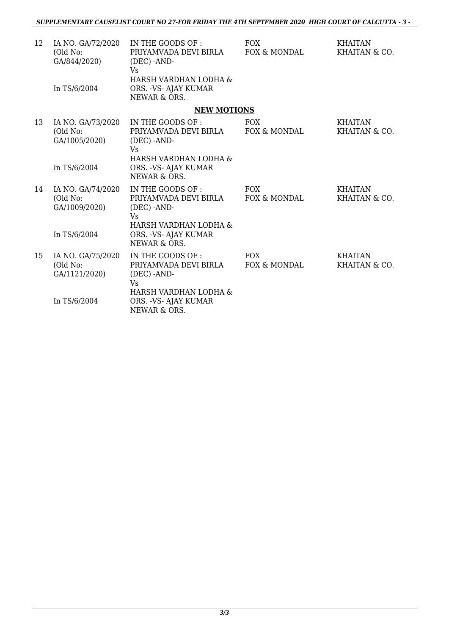| 12 | IA NO. GA/72/2020<br>(Old No:<br>GA/844/2020)  | IN THE GOODS OF :<br>PRIYAMVADA DEVI BIRLA<br>(DEC) -AND-<br><b>V<sub>S</sub></b> | <b>FOX</b><br>FOX & MONDAL | <b>KHAITAN</b><br>KHAITAN & CO. |
|----|------------------------------------------------|-----------------------------------------------------------------------------------|----------------------------|---------------------------------|
|    | In TS/6/2004                                   | HARSH VARDHAN LODHA &<br>ORS. - VS- AJAY KUMAR<br>NEWAR & ORS.                    |                            |                                 |
|    |                                                | <b>NEW MOTIONS</b>                                                                |                            |                                 |
| 13 | IA NO. GA/73/2020<br>(Old No:<br>GA/1005/2020) | IN THE GOODS OF :<br>PRIYAMVADA DEVI BIRLA<br>$(DEC)$ -AND-<br>Vs                 | <b>FOX</b><br>FOX & MONDAL | <b>KHAITAN</b><br>KHAITAN & CO. |
|    | In TS/6/2004                                   | HARSH VARDHAN LODHA &<br>ORS. - VS- AJAY KUMAR<br>NEWAR & ORS.                    |                            |                                 |
| 14 | IA NO. GA/74/2020<br>(Old No:<br>GA/1009/2020) | IN THE GOODS OF :<br>PRIYAMVADA DEVI BIRLA<br>(DEC) -AND-<br>Vs                   | <b>FOX</b><br>FOX & MONDAL | <b>KHAITAN</b><br>KHAITAN & CO. |
|    | In TS/6/2004                                   | HARSH VARDHAN LODHA &<br>ORS. - VS- AJAY KUMAR<br>NEWAR & ORS.                    |                            |                                 |
| 15 | IA NO. GA/75/2020<br>(Old No:<br>GA/1121/2020) | IN THE GOODS OF :<br>PRIYAMVADA DEVI BIRLA<br>(DEC) -AND-<br>Vs                   | <b>FOX</b><br>FOX & MONDAL | <b>KHAITAN</b><br>KHAITAN & CO. |
|    | In TS/6/2004                                   | HARSH VARDHAN LODHA &<br>ORS. - VS- AJAY KUMAR<br>NEWAR & ORS.                    |                            |                                 |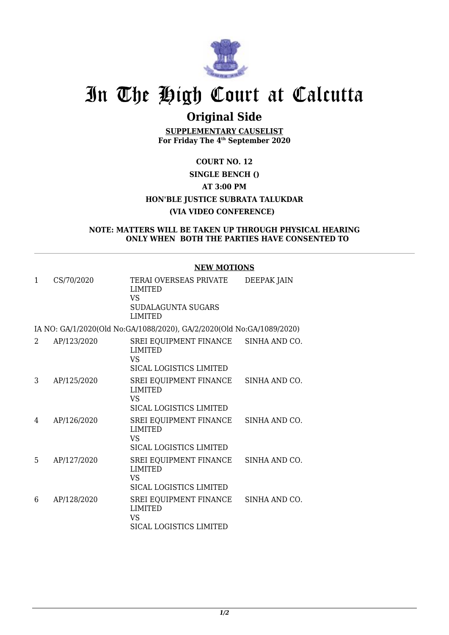

## **Original Side**

**SUPPLEMENTARY CAUSELIST For Friday The 4th September 2020**

## **COURT NO. 12 SINGLE BENCH () AT 3:00 PM HON'BLE JUSTICE SUBRATA TALUKDAR (VIA VIDEO CONFERENCE)**

#### **NOTE: MATTERS WILL BE TAKEN UP THROUGH PHYSICAL HEARING ONLY WHEN BOTH THE PARTIES HAVE CONSENTED TO**

### **NEW MOTIONS**

| 1 | CS/70/2020  | TERAI OVERSEAS PRIVATE<br><b>LIMITED</b><br>VS<br>SUDALAGUNTA SUGARS<br><b>LIMITED</b>         | DEEPAK JAIN   |
|---|-------------|------------------------------------------------------------------------------------------------|---------------|
|   |             | IA NO: GA/1/2020(Old No:GA/1088/2020), GA/2/2020(Old No:GA/1089/2020)                          |               |
| 2 | AP/123/2020 | SREI EQUIPMENT FINANCE SINHA AND CO.<br><b>LIMITED</b><br>VS<br><b>SICAL LOGISTICS LIMITED</b> |               |
| 3 | AP/125/2020 | SREI EQUIPMENT FINANCE<br><b>LIMITED</b><br>VS.<br>SICAL LOGISTICS LIMITED                     | SINHA AND CO. |
| 4 | AP/126/2020 | SREI EQUIPMENT FINANCE<br><b>LIMITED</b><br>VS<br><b>SICAL LOGISTICS LIMITED</b>               | SINHA AND CO. |
| 5 | AP/127/2020 | SREI EQUIPMENT FINANCE<br><b>LIMITED</b>                                                       | SINHA AND CO. |

|   |             | VS<br>SICAL LOGISTICS LIMITED                                                    |  |
|---|-------------|----------------------------------------------------------------------------------|--|
| 6 | AP/128/2020 | SREI EOUIPMENT FINANCE SINHA AND CO.<br>LIMITED<br>VS<br>SICAL LOGISTICS LIMITED |  |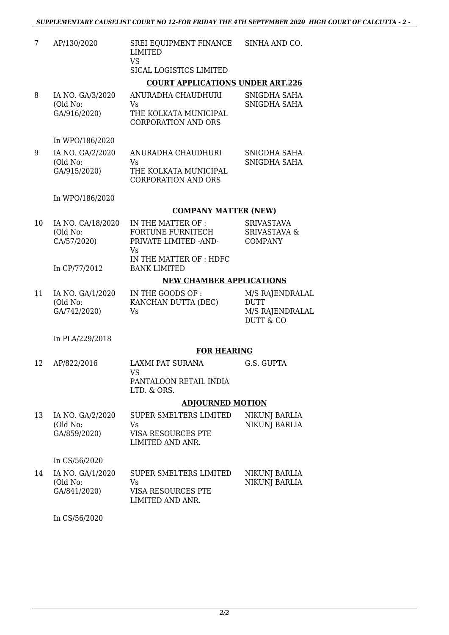|    |                                              | SUFFLEMENIANI CAUSELISI COUNI NO 12TUN FNIDAI TIIE TIII SEFTEMBEN 2020 TI       |                                                                           |
|----|----------------------------------------------|---------------------------------------------------------------------------------|---------------------------------------------------------------------------|
| 7  | AP/130/2020                                  | SREI EQUIPMENT FINANCE<br><b>LIMITED</b><br><b>VS</b>                           | SINHA AND CO.                                                             |
|    |                                              | SICAL LOGISTICS LIMITED                                                         |                                                                           |
|    |                                              | <b>COURT APPLICATIONS UNDER ART.226</b>                                         |                                                                           |
| 8  | IA NO. GA/3/2020<br>(Old No:<br>GA/916/2020) | ANURADHA CHAUDHURI<br>Vs<br>THE KOLKATA MUNICIPAL<br><b>CORPORATION AND ORS</b> | SNIGDHA SAHA<br>SNIGDHA SAHA                                              |
|    | In WPO/186/2020                              |                                                                                 |                                                                           |
| 9  | IA NO. GA/2/2020<br>(Old No:<br>GA/915/2020) | ANURADHA CHAUDHURI<br>Vs<br>THE KOLKATA MUNICIPAL<br><b>CORPORATION AND ORS</b> | SNIGDHA SAHA<br>SNIGDHA SAHA                                              |
|    | In WPO/186/2020                              |                                                                                 |                                                                           |
|    |                                              | <b>COMPANY MATTER (NEW)</b>                                                     |                                                                           |
| 10 | IA NO. CA/18/2020<br>(Old No:<br>CA/57/2020) | IN THE MATTER OF :<br><b>FORTUNE FURNITECH</b><br>PRIVATE LIMITED - AND-<br>Vs  | <b>SRIVASTAVA</b><br><b>SRIVASTAVA &amp;</b><br><b>COMPANY</b>            |
|    | In CP/77/2012                                | IN THE MATTER OF: HDFC<br><b>BANK LIMITED</b>                                   |                                                                           |
|    |                                              | <b>NEW CHAMBER APPLICATIONS</b>                                                 |                                                                           |
| 11 | IA NO. GA/1/2020<br>(Old No:<br>GA/742/2020) | IN THE GOODS OF:<br>KANCHAN DUTTA (DEC)<br>Vs                                   | M/S RAJENDRALAL<br><b>DUTT</b><br>M/S RAJENDRALAL<br><b>DUTT &amp; CO</b> |
|    | In PLA/229/2018                              |                                                                                 |                                                                           |
|    |                                              | <b>FOR HEARING</b>                                                              |                                                                           |
| 12 | AP/822/2016                                  | LAXMI PAT SURANA<br><b>VS</b><br>PANTALOON RETAIL INDIA<br>LTD. & ORS.          | G.S. GUPTA                                                                |
|    |                                              | <b>ADJOURNED MOTION</b>                                                         |                                                                           |
| 13 | IA NO. GA/2/2020<br>(Old No:                 | SUPER SMELTERS LIMITED<br>Vs                                                    | NIKUNJ BARLIA<br><b>NIKUNI BARLIA</b>                                     |

(Old No: GA/859/2020) Vs VISA RESOURCES PTE LIMITED AND ANR. NIKUNJ BARLIA

In CS/56/2020

| 14 | IA NO. GA/1/2020 | SUPER SMELTERS LIMITED | NIKUNJ BARLIA |
|----|------------------|------------------------|---------------|
|    | (Old No:         | Vs.                    | NIKUNJ BARLIA |
|    | GA/841/2020)     | VISA RESOURCES PTE     |               |
|    |                  | LIMITED AND ANR.       |               |

In CS/56/2020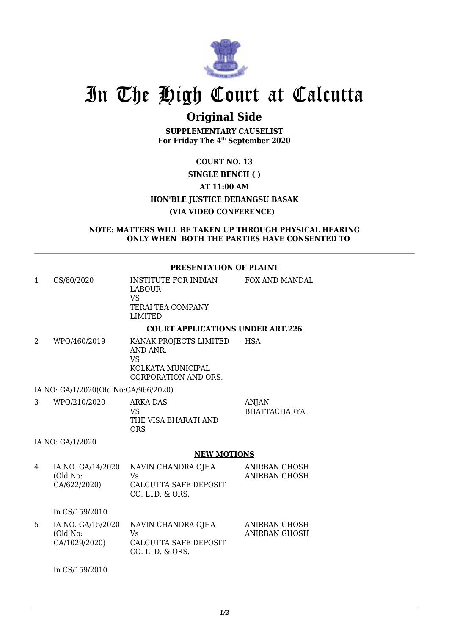

## **Original Side**

**SUPPLEMENTARY CAUSELIST For Friday The 4th September 2020**

## **COURT NO. 13 SINGLE BENCH ( ) AT 11:00 AM HON'BLE JUSTICE DEBANGSU BASAK (VIA VIDEO CONFERENCE)**

**NOTE: MATTERS WILL BE TAKEN UP THROUGH PHYSICAL HEARING ONLY WHEN BOTH THE PARTIES HAVE CONSENTED TO**

#### **PRESENTATION OF PLAINT**

| 1              | CS/80/2020                                    | INSTITUTE FOR INDIAN<br><b>LABOUR</b><br>VS.<br>TERAI TEA COMPANY                      | FOX AND MANDAL                      |
|----------------|-----------------------------------------------|----------------------------------------------------------------------------------------|-------------------------------------|
|                |                                               | <b>LIMITED</b>                                                                         |                                     |
|                |                                               | <b>COURT APPLICATIONS UNDER ART.226</b>                                                |                                     |
| $\overline{2}$ | WPO/460/2019                                  | KANAK PROJECTS LIMITED<br>AND ANR.<br>VS.<br>KOLKATA MUNICIPAL<br>CORPORATION AND ORS. | <b>HSA</b>                          |
|                | IA NO: GA/1/2020(Old No:GA/966/2020)          |                                                                                        |                                     |
| 3              | WPO/210/2020                                  | <b>ARKA DAS</b><br>VS<br>THE VISA BHARATI AND<br><b>ORS</b>                            | <b>ANJAN</b><br><b>BHATTACHARYA</b> |
|                | IA NO: GA/1/2020                              |                                                                                        |                                     |
|                |                                               | <b>NEW MOTIONS</b>                                                                     |                                     |
| 4              | IA NO. GA/14/2020<br>(Old No:<br>GA/622/2020) | NAVIN CHANDRA OJHA<br>Vs.<br>CALCUTTA SAFE DEPOSIT<br>CO. LTD. & ORS.                  | ANIRBAN GHOSH<br>ANIRBAN GHOSH      |

In CS/159/2010

| IA NO. GA/15/2020 | NAVIN CHANDRA OJHA                       | ANIRBAN GHOSH |
|-------------------|------------------------------------------|---------------|
| (Old No:          | Vs.                                      | ANIRBAN GHOSH |
| GA/1029/2020)     | CALCUTTA SAFE DEPOSIT<br>CO. LTD. & ORS. |               |

In CS/159/2010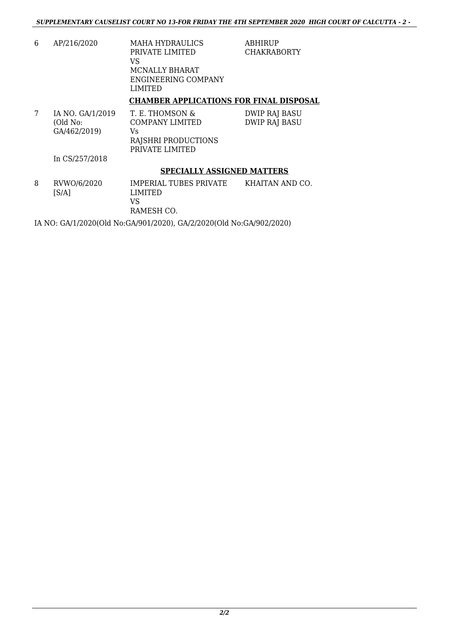| 6 | AP/216/2020                                  | <b>MAHA HYDRAULICS</b><br>PRIVATE LIMITED<br>VS<br>MCNALLY BHARAT<br>ENGINEERING COMPANY<br>LIMITED | <b>ABHIRUP</b><br><b>CHAKRABORTY</b>  |
|---|----------------------------------------------|-----------------------------------------------------------------------------------------------------|---------------------------------------|
|   |                                              | <b>CHAMBER APPLICATIONS FOR FINAL DISPOSAL</b>                                                      |                                       |
| 7 | IA NO. GA/1/2019<br>(Old No:<br>GA/462/2019) | T. E. THOMSON &<br><b>COMPANY LIMITED</b><br>Vs<br>RAJSHRI PRODUCTIONS<br>PRIVATE LIMITED           | <b>DWIP RAJ BASU</b><br>DWIP RAJ BASU |
|   | In CS/257/2018                               |                                                                                                     |                                       |

### **SPECIALLY ASSIGNED MATTERS**

| 8 | RVWO/6/2020<br>[S/A] | IMPERIAL TUBES PRIVATE<br>LIMITED<br>VS<br>RAMESH CO. | KHAITAN AND CO. |
|---|----------------------|-------------------------------------------------------|-----------------|
|   |                      |                                                       |                 |

IA NO: GA/1/2020(Old No:GA/901/2020), GA/2/2020(Old No:GA/902/2020)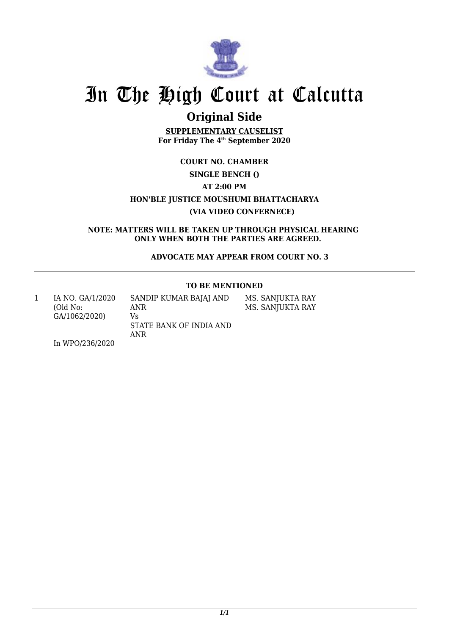

## **Original Side**

**SUPPLEMENTARY CAUSELIST For Friday The 4th September 2020**

## **COURT NO. CHAMBER SINGLE BENCH () AT 2:00 PM HON'BLE JUSTICE MOUSHUMI BHATTACHARYA (VIA VIDEO CONFERNECE)**

**NOTE: MATTERS WILL BE TAKEN UP THROUGH PHYSICAL HEARING ONLY WHEN BOTH THE PARTIES ARE AGREED.** 

 **ADVOCATE MAY APPEAR FROM COURT NO. 3**

### **TO BE MENTIONED**

| IA NO. GA/1/2020<br>(Old No: | SANDIP KUMAR BAJAJ AND<br>ANR        | MS. SANJUKTA RAY<br>MS. SANJUKTA RAY |
|------------------------------|--------------------------------------|--------------------------------------|
| GA/1062/2020)                | Vs<br>STATE BANK OF INDIA AND<br>ANR |                                      |
| In WPO/236/2020              |                                      |                                      |

In WPO/236/2020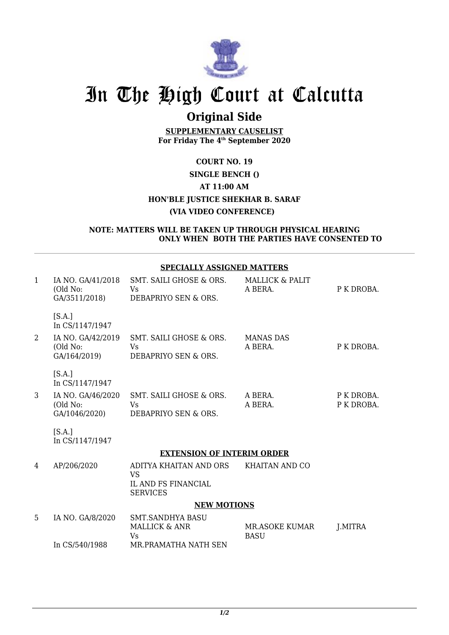

## **Original Side**

**SUPPLEMENTARY CAUSELIST For Friday The 4th September 2020**

## **COURT NO. 19 SINGLE BENCH () AT 11:00 AM HON'BLE JUSTICE SHEKHAR B. SARAF (VIA VIDEO CONFERENCE)**

#### **NOTE: MATTERS WILL BE TAKEN UP THROUGH PHYSICAL HEARING ONLY WHEN BOTH THE PARTIES HAVE CONSENTED TO**

### **SPECIALLY ASSIGNED MATTERS**

| $\mathbf{1}$ | IA NO. GA/41/2018<br>(Old No:<br>GA/3511/2018) | SMT. SAILI GHOSE & ORS.<br>Vs<br>DEBAPRIYO SEN & ORS.     | <b>MALLICK &amp; PALIT</b><br>A BERA. | P K DROBA.               |  |  |
|--------------|------------------------------------------------|-----------------------------------------------------------|---------------------------------------|--------------------------|--|--|
|              | [S.A.]<br>In CS/1147/1947                      |                                                           |                                       |                          |  |  |
| 2            | IA NO. GA/42/2019<br>(Old No:<br>GA/164/2019)  | SMT. SAILI GHOSE & ORS.<br>Vs<br>DEBAPRIYO SEN & ORS.     | <b>MANAS DAS</b><br>A BERA.           | P K DROBA.               |  |  |
|              | [S.A.]<br>In CS/1147/1947                      |                                                           |                                       |                          |  |  |
| 3            | IA NO. GA/46/2020<br>(Old No:<br>GA/1046/2020) | SMT. SAILI GHOSE & ORS.<br>Vs<br>DEBAPRIYO SEN & ORS.     | A BERA.<br>A BERA.                    | P K DROBA.<br>P K DROBA. |  |  |
|              | [S.A.]<br>In CS/1147/1947                      |                                                           |                                       |                          |  |  |
|              | <b>EXTENSION OF INTERIM ORDER</b>              |                                                           |                                       |                          |  |  |
| 4            | AP/206/2020                                    | ADITYA KHAITAN AND ORS<br><b>VS</b>                       | KHAITAN AND CO                        |                          |  |  |
|              |                                                | <b>IL AND FS FINANCIAL</b><br><b>SERVICES</b>             |                                       |                          |  |  |
|              |                                                | <b>NEW MOTIONS</b>                                        |                                       |                          |  |  |
| 5            | IA NO. GA/8/2020                               | <b>SMT.SANDHYA BASU</b><br><b>MALLICK &amp; ANR</b><br>Vs | <b>MR.ASOKE KUMAR</b><br><b>BASU</b>  | <b>J.MITRA</b>           |  |  |
|              | In CS/540/1988                                 | MR.PRAMATHA NATH SEN                                      |                                       |                          |  |  |